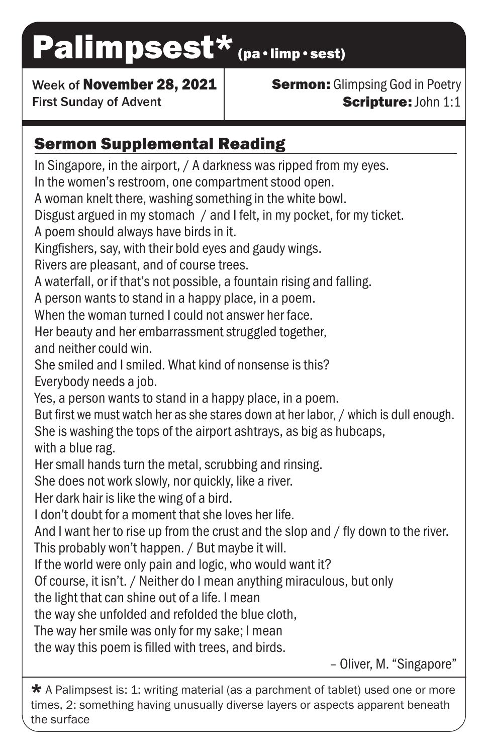Palimpsest\* (pa·limp·sest)

Week of November 28, 2021 First Sunday of Advent

### **Sermon:** Glimpsing God in Poetry Scripture: John 1:1

# Sermon Supplemental Reading

In Singapore, in the airport, / A darkness was ripped from my eyes.

In the women's restroom, one compartment stood open.

A woman knelt there, washing something in the white bowl.

Disgust argued in my stomach / and I felt, in my pocket, for my ticket.

A poem should always have birds in it.

Kingfishers, say, with their bold eyes and gaudy wings.

Rivers are pleasant, and of course trees.

A waterfall, or if that's not possible, a fountain rising and falling.

A person wants to stand in a happy place, in a poem.

When the woman turned I could not answer her face.

Her beauty and her embarrassment struggled together, and neither could win.

She smiled and I smiled. What kind of nonsense is this? Everybody needs a job.

Yes, a person wants to stand in a happy place, in a poem.

But first we must watch her as she stares down at her labor, / which is dull enough. She is washing the tops of the airport ashtrays, as big as hubcaps, with a blue rag.

Her small hands turn the metal, scrubbing and rinsing.

She does not work slowly, nor quickly, like a river.

Her dark hair is like the wing of a bird.

I don't doubt for a moment that she loves her life.

And I want her to rise up from the crust and the slop and / fly down to the river. This probably won't happen. / But maybe it will.

If the world were only pain and logic, who would want it?

Of course, it isn't. / Neither do I mean anything miraculous, but only

the light that can shine out of a life. I mean

the way she unfolded and refolded the blue cloth,

The way her smile was only for my sake; I mean

the way this poem is filled with trees, and birds.

– Oliver, M. "Singapore"

 $\star$  A Palimpsest is: 1: writing material (as a parchment of tablet) used one or more times, 2: something having unusually diverse layers or aspects apparent beneath the surface